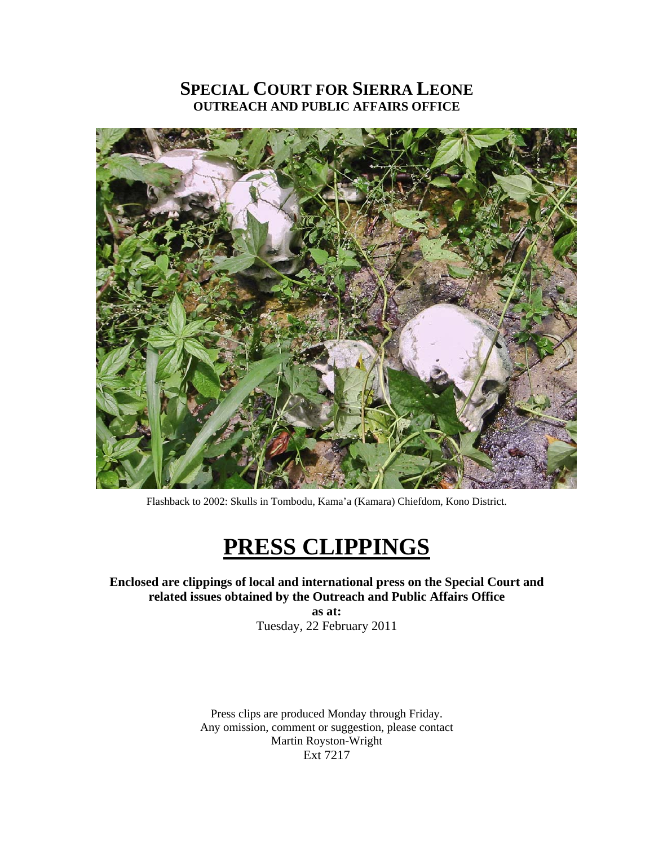# **SPECIAL COURT FOR SIERRA LEONE OUTREACH AND PUBLIC AFFAIRS OFFICE**



Flashback to 2002: Skulls in Tombodu, Kama'a (Kamara) Chiefdom, Kono District.

# **PRESS CLIPPINGS**

# **Enclosed are clippings of local and international press on the Special Court and related issues obtained by the Outreach and Public Affairs Office**

**as at:**  Tuesday, 22 February 2011

Press clips are produced Monday through Friday. Any omission, comment or suggestion, please contact Martin Royston-Wright Ext 7217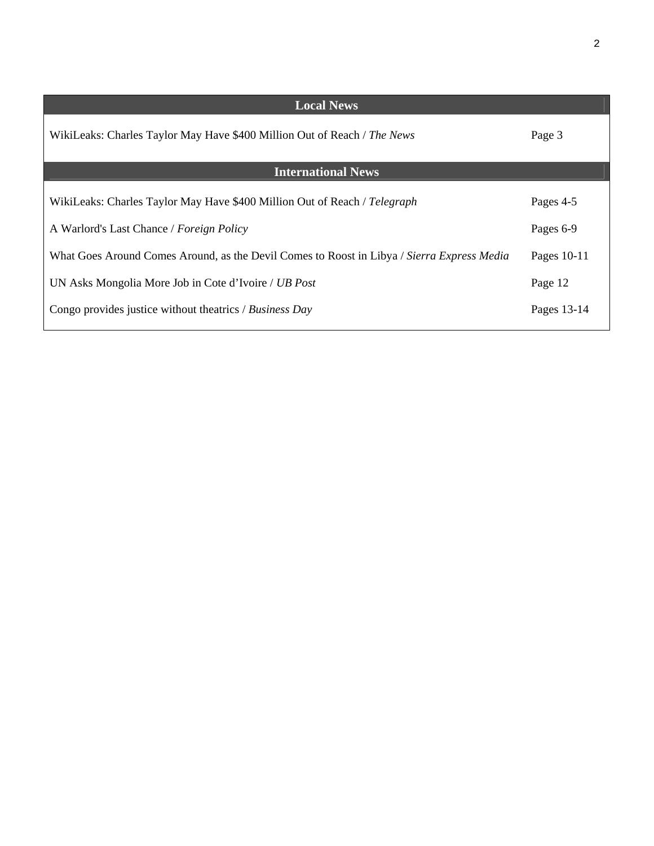| <b>Local News</b>                                                                          |             |
|--------------------------------------------------------------------------------------------|-------------|
| WikiLeaks: Charles Taylor May Have \$400 Million Out of Reach / The News                   | Page 3      |
| <b>International News</b>                                                                  |             |
| WikiLeaks: Charles Taylor May Have \$400 Million Out of Reach / Telegraph                  | Pages 4-5   |
| A Warlord's Last Chance / Foreign Policy                                                   | Pages 6-9   |
| What Goes Around Comes Around, as the Devil Comes to Roost in Libya / Sierra Express Media | Pages 10-11 |

UN Asks Mongolia More Job in Cote d'Ivoire / *UB Post* Congo provides justice without theatrics / *Business Day* Page 12 Pages 13-14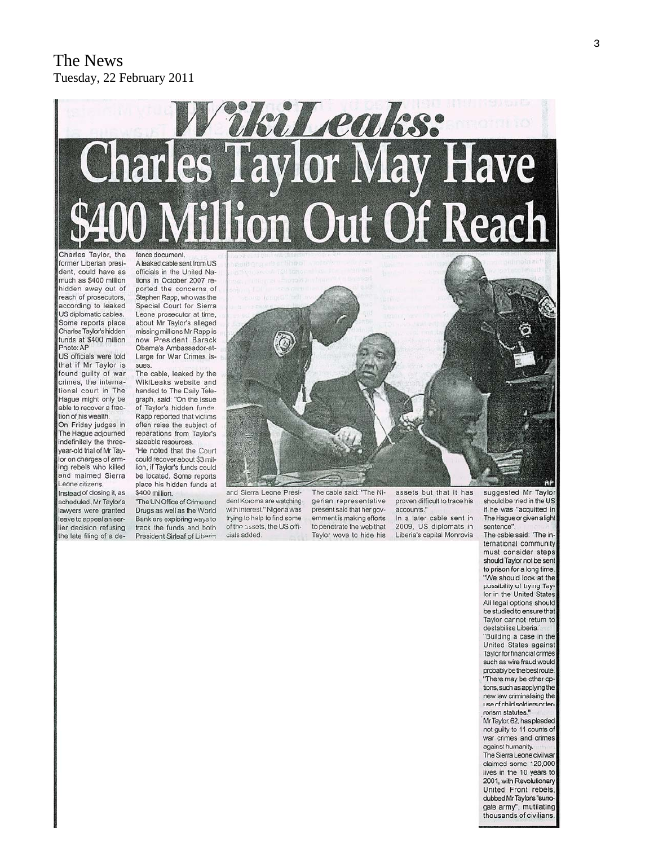# The News Tuesday, 22 February 2011

# VikiLeaks: Charles Taylor May Have<br>\$400 Million Out Of Reach fence document.

Charles Taylor, the former Liberian president, could have as much as \$400 million hidden away out of reach of prosecutors, according to leaked US diplomatic cables. Some reports place Charles Taylor's hidden funds at \$400 million Photo: AP

US officials were told that if Mr Taylor is found guilty of war crimes, the international court in The Haque might only be able to recover a fraction of his wealth.

On Friday judges in The Hague adjourned indefinitely the threevear-old trial of Mr Taylor on charges of arming rebels who killed and maimed Sierra Leone citizens.

Instead of closing it, as scheduled, Mr Taylor's lawyers were granted leave to appeal an earlier decision refusing the late filing of a deA leaked cable sent from US

officials in the United Nations in October 2007 reported the concerns of Stephen Rapp, who was the Special Court for Sierra Leone prosecutor at time, about Mr Taylor's alleged missing millions Mr Rapp is now President Barack Obama's Ambassador-at-Large for War Crimes Issues.

The cable, leaked by the WikiLeaks website and handed to The Daily Telegraph, said: "On the issue of Taylor's hidden funds Rapp reported that victims often raise the subject of reparations from Taylor's sizeable resources

"He noted that the Court could recover about \$3 million, if Taylor's funds could be located. Some reports place his hidden funds at \$400 million.

"The UN Office of Crime and Drugs as well as the World Bank are exploring ways to track the funds and both President Sirleaf of Liberia

and Sierra Leone President Koroma are watching with interest." Nigeria was trying to help to find some of the assets, the US officials added.

The cable said: "The Nigerian representative present said that her government is making efforts to penetrate the web that Taylor wove to hide his assets but that it has proven difficult to trace his accounts." In a later cable sent in 2009. US diplomats in Liberia's capital Monrovia

suggested Mr Taylor should be tried in the US if he was "acquitted in The Hague or given a light sentence"

The cable said: "The international community must consider steps should Taylor not be sent to prison for a long time. "We should look at the possibility of trying Taylor in the United States All legal options should be studied to ensure that Taylor cannot return to destabilise Liberia. "Building a case in the United States against

Taylor for financial crimes such as wire fraud would probably be the best route. "There may be other options, such as applying the new law criminalising the use of child soldiers or ter rorism statutes."

Mr Taylor, 62, has pleaded not guilty to 11 counts of war crimes and crimes against humanity.

The Sierra Leone civil war claimed some 120,000 lives in the 10 years to 2001, with Revolutionary United Front rebels, dubbed Mr Taylor's "surrogate army", mutilating<br>thousands of civilians.

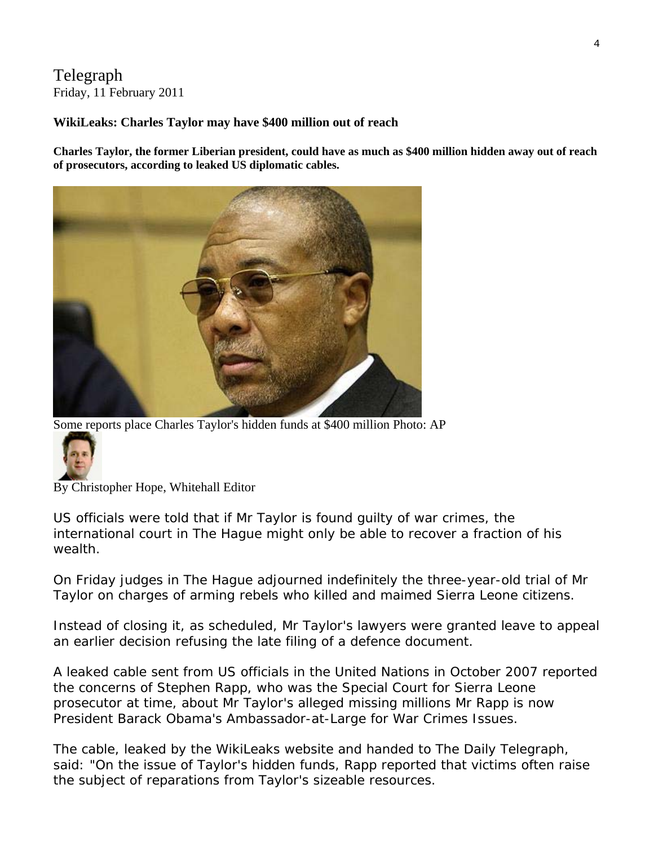# Telegraph Friday, 11 February 2011

#### **WikiLeaks: Charles Taylor may have \$400 million out of reach**

**Charles Taylor, the former Liberian president, could have as much as \$400 million hidden away out of reach of prosecutors, according to leaked US diplomatic cables.** 



[Some repo](http://www.telegraph.co.uk/journalists/)rts place Charles Taylor's hidden funds at \$400 million Photo: AP



By Christopher Hope, Whitehall Editor

US officials were told that if Mr Taylor is found guilty of war crimes, the international court in The Hague might only be able to recover a fraction of his wealth.

On Friday judges in The Hague adjourned indefinitely the three-year-old trial of Mr Taylor on charges of arming rebels who killed and maimed Sierra Leone citizens.

Instead of closing it, as scheduled, Mr Taylor's lawyers were granted leave to appeal an earlier decision refusing the late filing of a defence document.

A leaked cable sent from US officials in the United Nations in October 2007 reported the concerns of Stephen Rapp, who was the Special Court for Sierra Leone prosecutor at time, about Mr Taylor's alleged missing millions Mr Rapp is now President Barack Obama's Ambassador-at-Large for War Crimes Issues.

The cable, leaked by the WikiLeaks website and handed to The Daily Telegraph, said: "On the issue of Taylor's hidden funds, Rapp reported that victims often raise the subject of reparations from Taylor's sizeable resources.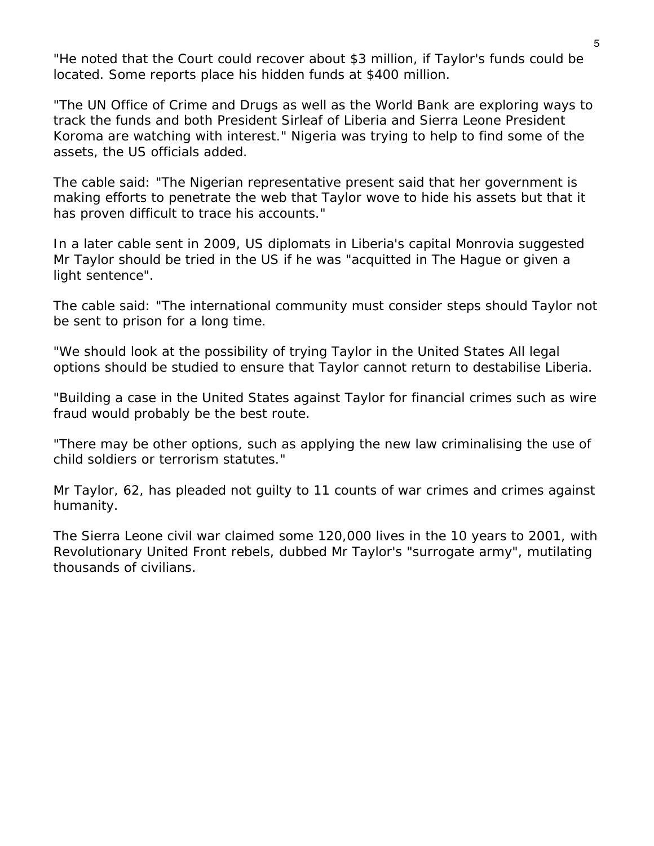"He noted that the Court could recover about \$3 million, if Taylor's funds could be located. Some reports place his hidden funds at \$400 million.

"The UN Office of Crime and Drugs as well as the World Bank are exploring ways to track the funds and both President Sirleaf of Liberia and Sierra Leone President Koroma are watching with interest." Nigeria was trying to help to find some of the assets, the US officials added.

The cable said: "The Nigerian representative present said that her government is making efforts to penetrate the web that Taylor wove to hide his assets but that it has proven difficult to trace his accounts."

In a later cable sent in 2009, US diplomats in Liberia's capital Monrovia suggested Mr Taylor should be tried in the US if he was "acquitted in The Hague or given a light sentence".

The cable said: "The international community must consider steps should Taylor not be sent to prison for a long time.

"We should look at the possibility of trying Taylor in the United States All legal options should be studied to ensure that Taylor cannot return to destabilise Liberia.

"Building a case in the United States against Taylor for financial crimes such as wire fraud would probably be the best route.

"There may be other options, such as applying the new law criminalising the use of child soldiers or terrorism statutes."

Mr Taylor, 62, has pleaded not guilty to 11 counts of war crimes and crimes against humanity.

The Sierra Leone civil war claimed some 120,000 lives in the 10 years to 2001, with Revolutionary United Front rebels, dubbed Mr Taylor's "surrogate army", mutilating thousands of civilians.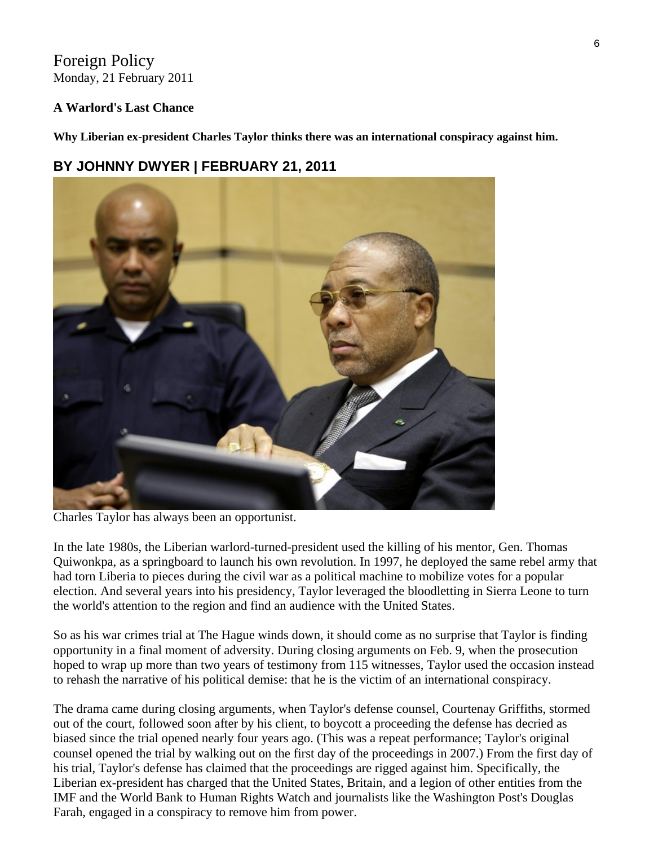# Foreign Policy Monday, 21 February 2011

#### **A Warlord's Last Chance**

**Why Liberian ex-president Charles Taylor thinks there was an international conspiracy against him.** 

# **BY JOHNNY DWYER | FEBRUARY 21, 2011**



Charles Taylor has always been an opportunist.

In the late 1980s, the Liberian warlord-turned-president used the killing of his mentor, Gen. Thomas Quiwonkpa, as a springboard to launch his own revolution. In 1997, he deployed the same rebel army that had torn Liberia to pieces during the civil war as a political machine to mobilize votes for a popular election. And several years into his presidency, Taylor leveraged the bloodletting in Sierra Leone to turn the world's attention to the region and find an audience with the United States.

So as his war crimes trial at The Hague winds down, it should come as no surprise that Taylor is finding opportunity in a final moment of adversity. During closing arguments on Feb. 9, when the prosecution hoped to wrap up more than two years of testimony from 115 witnesses, Taylor used the occasion instead to rehash the narrative of his political demise: that he is the victim of an international conspiracy.

The drama came during closing arguments, when Taylor's defense counsel, Courtenay Griffiths, stormed out of the court, followed soon after by his client, to boycott a proceeding the defense has decried as biased since the trial opened nearly four years ago. (This was a repeat performance; Taylor's original counsel opened the trial by walking out on the first day of the proceedings in 2007.) From the first day of his trial, Taylor's defense has claimed that the proceedings are rigged against him. Specifically, the Liberian ex-president has charged that the United States, Britain, and a legion of other entities from the IMF and the World Bank to Human Rights Watch and journalists like the Washington Post's Douglas Farah, engaged in a conspiracy to remove him from power.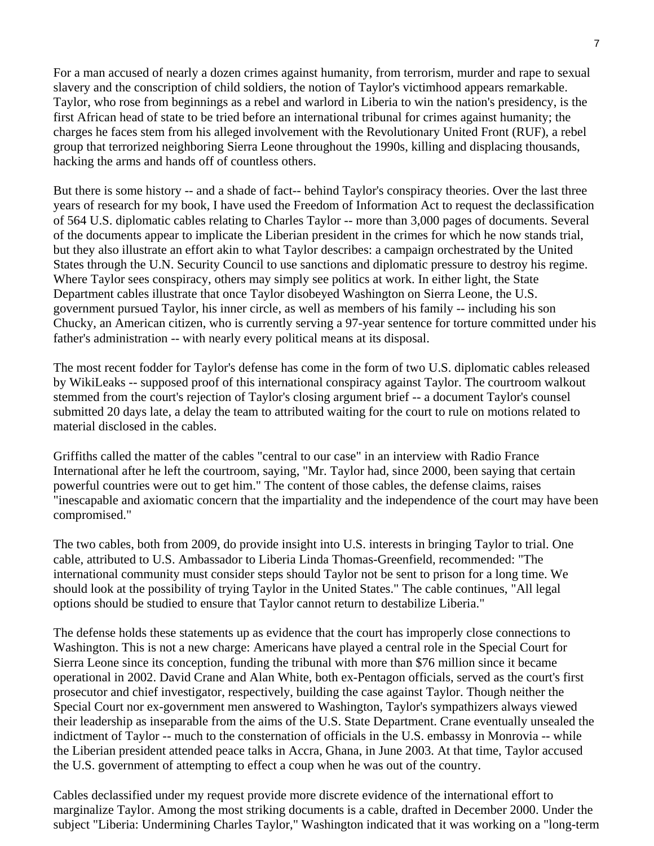For a man accused of nearly a dozen crimes against humanity, from terrorism, murder and rape to sexual slavery and the conscription of child soldiers, the notion of Taylor's victimhood appears remarkable. Taylor, who rose from beginnings as a rebel and warlord in Liberia to win the nation's presidency, is the first African head of state to be tried before an international tribunal for crimes against humanity; the charges he faces stem from his alleged involvement with the Revolutionary United Front (RUF), a rebel group that terrorized neighboring Sierra Leone throughout the 1990s, killing and displacing thousands, hacking the arms and hands off of countless others.

But there is some history -- and a shade of fact-- behind Taylor's conspiracy theories. Over the last three years of research for my book, I have used the Freedom of Information Act to request the declassification of 564 U.S. diplomatic cables relating to Charles Taylor -- more than 3,000 pages of documents. Several of the documents appear to implicate the Liberian president in the crimes for which he now stands trial, but they also illustrate an effort akin to what Taylor describes: a campaign orchestrated by the United States through the U.N. Security Council to use sanctions and diplomatic pressure to destroy his regime. Where Taylor sees conspiracy, others may simply see politics at work. In either light, the State Department cables illustrate that once Taylor disobeyed Washington on Sierra Leone, the U.S. government pursued Taylor, his inner circle, as well as members of his family -- including his son Chucky, an American citizen, who is currently serving a 97-year sentence for torture committed under his father's administration -- with nearly every political means at its disposal.

The most recent fodder for Taylor's defense has come in the form of two U.S. diplomatic cables released by WikiLeaks -- supposed proof of this international conspiracy against Taylor. The courtroom walkout stemmed from the court's rejection of Taylor's closing argument brief -- a document Taylor's counsel submitted 20 days late, a delay the team to attributed waiting for the court to rule on motions related to material disclosed in the cables.

Griffiths called the matter of the cables "central to our case" in an interview with Radio France International after he left the courtroom, saying, "Mr. Taylor had, since 2000, been saying that certain powerful countries were out to get him." The content of those cables, the defense claims, raises "inescapable and axiomatic concern that the impartiality and the independence of the court may have been compromised."

The two cables, both from 2009, do provide insight into U.S. interests in bringing Taylor to trial. One cable, attributed to U.S. Ambassador to Liberia Linda Thomas-Greenfield, recommended: "The international community must consider steps should Taylor not be sent to prison for a long time. We should look at the possibility of trying Taylor in the United States." The cable continues, "All legal options should be studied to ensure that Taylor cannot return to destabilize Liberia."

The defense holds these statements up as evidence that the court has improperly close connections to Washington. This is not a new charge: Americans have played a central role in the Special Court for Sierra Leone since its conception, funding the tribunal with more than \$76 million since it became operational in 2002. David Crane and Alan White, both ex-Pentagon officials, served as the court's first prosecutor and chief investigator, respectively, building the case against Taylor. Though neither the Special Court nor ex-government men answered to Washington, Taylor's sympathizers always viewed their leadership as inseparable from the aims of the U.S. State Department. Crane eventually unsealed the indictment of Taylor -- much to the consternation of officials in the U.S. embassy in Monrovia -- while the Liberian president attended peace talks in Accra, Ghana, in June 2003. At that time, Taylor accused the U.S. government of attempting to effect a coup when he was out of the country.

Cables declassified under my request provide more discrete evidence of the international effort to marginalize Taylor. Among the most striking documents is a cable, drafted in December 2000. Under the subject "Liberia: Undermining Charles Taylor," Washington indicated that it was working on a "long-term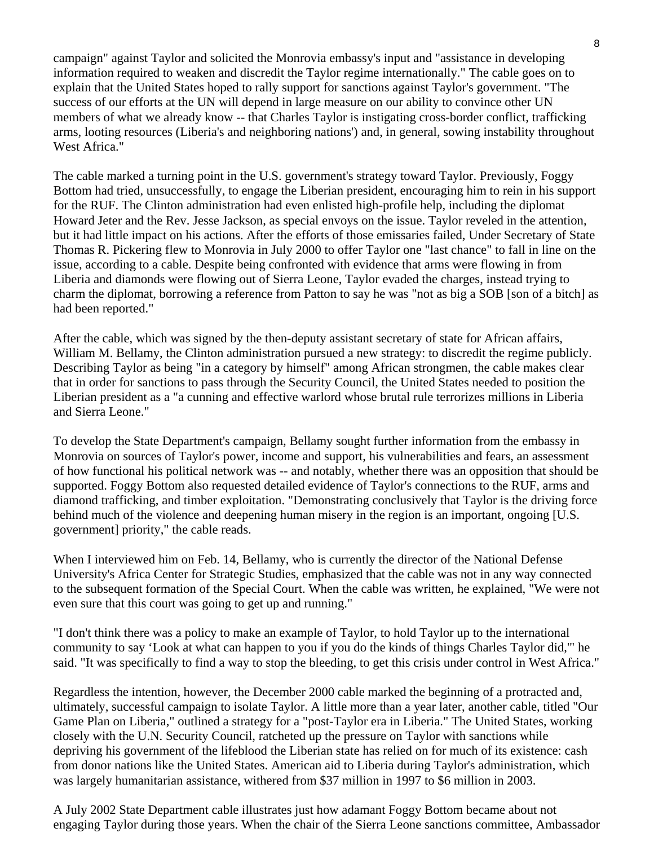campaign" against Taylor and solicited the Monrovia embassy's input and "assistance in developing information required to weaken and discredit the Taylor regime internationally." The cable goes on to explain that the United States hoped to rally support for sanctions against Taylor's government. "The success of our efforts at the UN will depend in large measure on our ability to convince other UN members of what we already know -- that Charles Taylor is instigating cross-border conflict, trafficking arms, looting resources (Liberia's and neighboring nations') and, in general, sowing instability throughout West Africa."

The cable marked a turning point in the U.S. government's strategy toward Taylor. Previously, Foggy Bottom had tried, unsuccessfully, to engage the Liberian president, encouraging him to rein in his support for the RUF. The Clinton administration had even enlisted high-profile help, including the diplomat Howard Jeter and the Rev. Jesse Jackson, as special envoys on the issue. Taylor reveled in the attention, but it had little impact on his actions. After the efforts of those emissaries failed, Under Secretary of State Thomas R. Pickering flew to Monrovia in July 2000 to offer Taylor one "last chance" to fall in line on the issue, according to a cable. Despite being confronted with evidence that arms were flowing in from Liberia and diamonds were flowing out of Sierra Leone, Taylor evaded the charges, instead trying to charm the diplomat, borrowing a reference from Patton to say he was "not as big a SOB [son of a bitch] as had been reported."

After the cable, which was signed by the then-deputy assistant secretary of state for African affairs, William M. Bellamy, the Clinton administration pursued a new strategy: to discredit the regime publicly. Describing Taylor as being "in a category by himself" among African strongmen, the cable makes clear that in order for sanctions to pass through the Security Council, the United States needed to position the Liberian president as a "a cunning and effective warlord whose brutal rule terrorizes millions in Liberia and Sierra Leone."

To develop the State Department's campaign, Bellamy sought further information from the embassy in Monrovia on sources of Taylor's power, income and support, his vulnerabilities and fears, an assessment of how functional his political network was -- and notably, whether there was an opposition that should be supported. Foggy Bottom also requested detailed evidence of Taylor's connections to the RUF, arms and diamond trafficking, and timber exploitation. "Demonstrating conclusively that Taylor is the driving force behind much of the violence and deepening human misery in the region is an important, ongoing [U.S. government] priority," the cable reads.

When I interviewed him on Feb. 14, Bellamy, who is currently the director of the National Defense University's Africa Center for Strategic Studies, emphasized that the cable was not in any way connected to the subsequent formation of the Special Court. When the cable was written, he explained, "We were not even sure that this court was going to get up and running."

"I don't think there was a policy to make an example of Taylor, to hold Taylor up to the international community to say 'Look at what can happen to you if you do the kinds of things Charles Taylor did,'" he said. "It was specifically to find a way to stop the bleeding, to get this crisis under control in West Africa."

Regardless the intention, however, the December 2000 cable marked the beginning of a protracted and, ultimately, successful campaign to isolate Taylor. A little more than a year later, another cable, titled "Our Game Plan on Liberia," outlined a strategy for a "post-Taylor era in Liberia." The United States, working closely with the U.N. Security Council, ratcheted up the pressure on Taylor with sanctions while depriving his government of the lifeblood the Liberian state has relied on for much of its existence: cash from donor nations like the United States. American aid to Liberia during Taylor's administration, which was largely humanitarian assistance, withered from \$37 million in 1997 to \$6 million in 2003.

A July 2002 State Department cable illustrates just how adamant Foggy Bottom became about not engaging Taylor during those years. When the chair of the Sierra Leone sanctions committee, Ambassador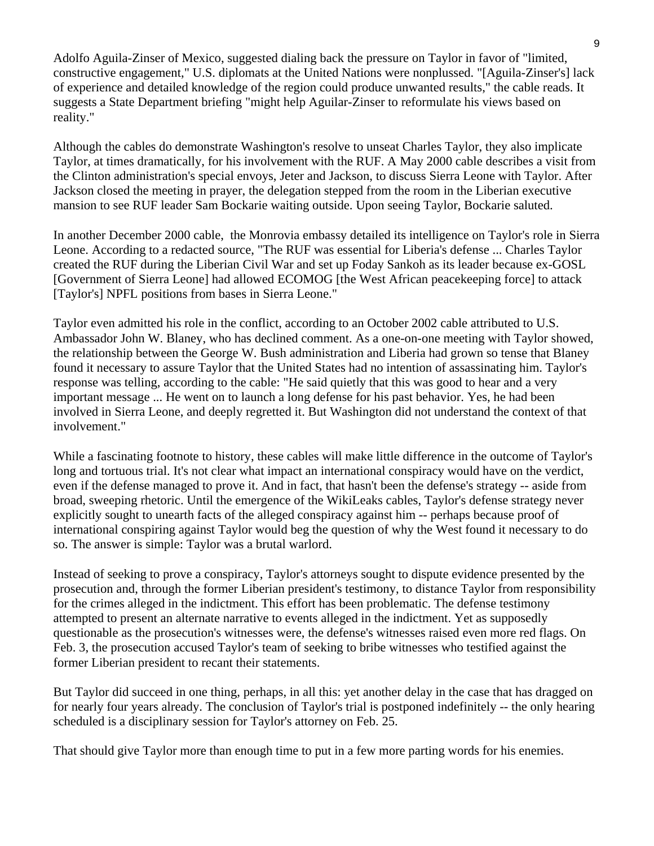Adolfo Aguila-Zinser of Mexico, suggested dialing back the pressure on Taylor in favor of "limited, constructive engagement," U.S. diplomats at the United Nations were nonplussed. "[Aguila-Zinser's] lack of experience and detailed knowledge of the region could produce unwanted results," the cable reads. It suggests a State Department briefing "might help Aguilar-Zinser to reformulate his views based on reality."

Although the cables do demonstrate Washington's resolve to unseat Charles Taylor, they also implicate Taylor, at times dramatically, for his involvement with the RUF. A May 2000 cable describes a visit from the Clinton administration's special envoys, Jeter and Jackson, to discuss Sierra Leone with Taylor. After Jackson closed the meeting in prayer, the delegation stepped from the room in the Liberian executive mansion to see RUF leader Sam Bockarie waiting outside. Upon seeing Taylor, Bockarie saluted.

In another December 2000 cable, the Monrovia embassy detailed its intelligence on Taylor's role in Sierra Leone. According to a redacted source, "The RUF was essential for Liberia's defense ... Charles Taylor created the RUF during the Liberian Civil War and set up Foday Sankoh as its leader because ex-GOSL [Government of Sierra Leone] had allowed ECOMOG [the West African peacekeeping force] to attack [Taylor's] NPFL positions from bases in Sierra Leone."

Taylor even admitted his role in the conflict, according to an October 2002 cable attributed to U.S. Ambassador John W. Blaney, who has declined comment. As a one-on-one meeting with Taylor showed, the relationship between the George W. Bush administration and Liberia had grown so tense that Blaney found it necessary to assure Taylor that the United States had no intention of assassinating him. Taylor's response was telling, according to the cable: "He said quietly that this was good to hear and a very important message ... He went on to launch a long defense for his past behavior. Yes, he had been involved in Sierra Leone, and deeply regretted it. But Washington did not understand the context of that involvement."

While a fascinating footnote to history, these cables will make little difference in the outcome of Taylor's long and tortuous trial. It's not clear what impact an international conspiracy would have on the verdict, even if the defense managed to prove it. And in fact, that hasn't been the defense's strategy -- aside from broad, sweeping rhetoric. Until the emergence of the WikiLeaks cables, Taylor's defense strategy never explicitly sought to unearth facts of the alleged conspiracy against him -- perhaps because proof of international conspiring against Taylor would beg the question of why the West found it necessary to do so. The answer is simple: Taylor was a brutal warlord.

Instead of seeking to prove a conspiracy, Taylor's attorneys sought to dispute evidence presented by the prosecution and, through the former Liberian president's testimony, to distance Taylor from responsibility for the crimes alleged in the indictment. This effort has been problematic. The defense testimony attempted to present an alternate narrative to events alleged in the indictment. Yet as supposedly questionable as the prosecution's witnesses were, the defense's witnesses raised even more red flags. On Feb. 3, the prosecution accused Taylor's team of seeking to bribe witnesses who testified against the former Liberian president to recant their statements.

But Taylor did succeed in one thing, perhaps, in all this: yet another delay in the case that has dragged on for nearly four years already. The conclusion of Taylor's trial is postponed indefinitely -- the only hearing scheduled is a disciplinary session for Taylor's attorney on Feb. 25.

That should give Taylor more than enough time to put in a few more parting words for his enemies.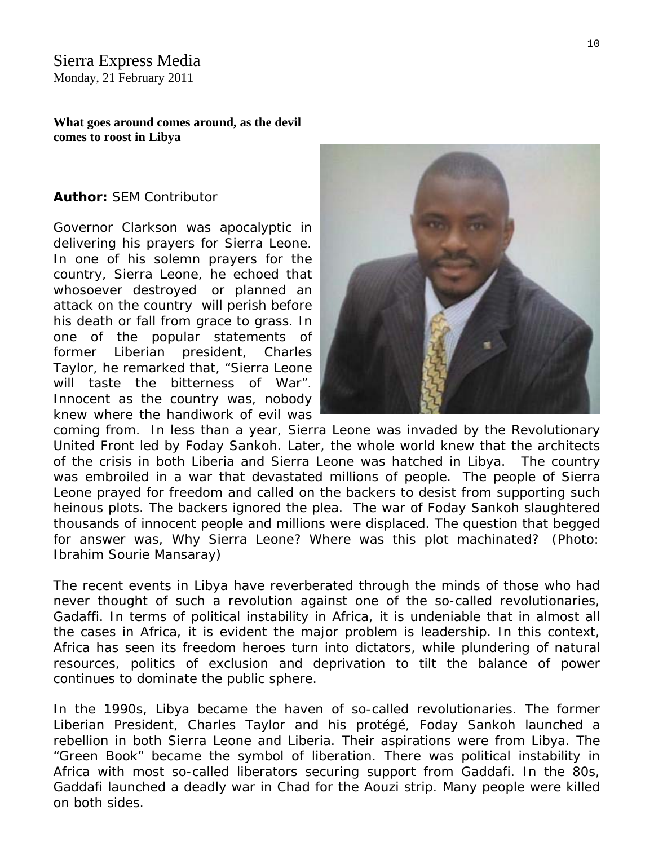Sierra Express Media Monday, 21 February 2011

**What goes around comes around, as the devil comes to roost in Libya** 

#### **Author:** SEM Contributor

Governor Clarkson was apocalyptic in delivering his prayers for Sierra Leone. In one of his solemn prayers for the country, Sierra Leone, he echoed that whosoever destroyed or planned an attack on the country will perish before his death or fall from grace to grass. In one of the popular statements of former Liberian president, Charles Taylor, he remarked that, "Sierra Leone will taste the bitterness of War". Innocent as the country was, nobody knew where the handiwork of evil was



coming from. In less than a year, Sierra Leone was invaded by the Revolutionary United Front led by Foday Sankoh. Later, the whole world knew that the architects of the crisis in both Liberia and Sierra Leone was hatched in Libya. The country was embroiled in a war that devastated millions of people. The people of Sierra Leone prayed for freedom and called on the backers to desist from supporting such heinous plots. The backers ignored the plea. The war of Foday Sankoh slaughtered thousands of innocent people and millions were displaced. The question that begged for answer was, Why Sierra Leone? Where was this plot machinated? (*Photo*: *Ibrahim Sourie Mansaray)*

The recent events in Libya have reverberated through the minds of those who had never thought of such a revolution against one of the so-called revolutionaries, Gadaffi. In terms of political instability in Africa, it is undeniable that in almost all the cases in Africa, it is evident the major problem is leadership. In this context, Africa has seen its freedom heroes turn into dictators, while plundering of natural resources, politics of exclusion and deprivation to tilt the balance of power continues to dominate the public sphere.

In the 1990s, Libya became the haven of so-called revolutionaries. The former Liberian President, Charles Taylor and his protégé, Foday Sankoh launched a rebellion in both Sierra Leone and Liberia. Their aspirations were from Libya. The "Green Book" became the symbol of liberation. There was political instability in Africa with most so-called liberators securing support from Gaddafi. In the 80s, Gaddafi launched a deadly war in Chad for the Aouzi strip. Many people were killed on both sides.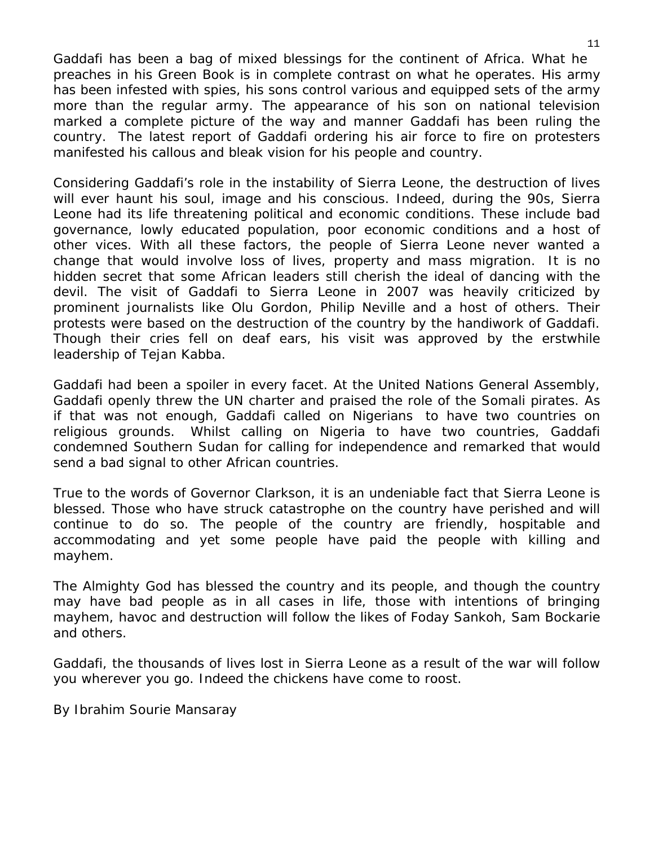Gaddafi has been a bag of mixed blessings for the continent of Africa. What he preaches in his Green Book is in complete contrast on what he operates. His army has been infested with spies, his sons control various and equipped sets of the army more than the regular army. The appearance of his son on national television marked a complete picture of the way and manner Gaddafi has been ruling the country. The latest report of Gaddafi ordering his air force to fire on protesters manifested his callous and bleak vision for his people and country.

Considering Gaddafi's role in the instability of Sierra Leone, the destruction of lives will ever haunt his soul, image and his conscious. Indeed, during the 90s, Sierra Leone had its life threatening political and economic conditions. These include bad governance, lowly educated population, poor economic conditions and a host of other vices. With all these factors, the people of Sierra Leone never wanted a change that would involve loss of lives, property and mass migration. It is no hidden secret that some African leaders still cherish the ideal of dancing with the devil. The visit of Gaddafi to Sierra Leone in 2007 was heavily criticized by prominent journalists like Olu Gordon, Philip Neville and a host of others. Their protests were based on the destruction of the country by the handiwork of Gaddafi. Though their cries fell on deaf ears, his visit was approved by the erstwhile leadership of Tejan Kabba.

Gaddafi had been a spoiler in every facet. At the United Nations General Assembly, Gaddafi openly threw the UN charter and praised the role of the Somali pirates. As if that was not enough, Gaddafi called on Nigerians to have two countries on religious grounds. Whilst calling on Nigeria to have two countries, Gaddafi condemned Southern Sudan for calling for independence and remarked that would send a bad signal to other African countries.

True to the words of Governor Clarkson, it is an undeniable fact that Sierra Leone is blessed. Those who have struck catastrophe on the country have perished and will continue to do so. The people of the country are friendly, hospitable and accommodating and yet some people have paid the people with killing and mayhem.

The Almighty God has blessed the country and its people, and though the country may have bad people as in all cases in life, those with intentions of bringing mayhem, havoc and destruction will follow the likes of Foday Sankoh, Sam Bockarie and others.

Gaddafi, the thousands of lives lost in Sierra Leone as a result of the war will follow you wherever you go. Indeed the chickens have come to roost.

*By Ibrahim Sourie Mansaray*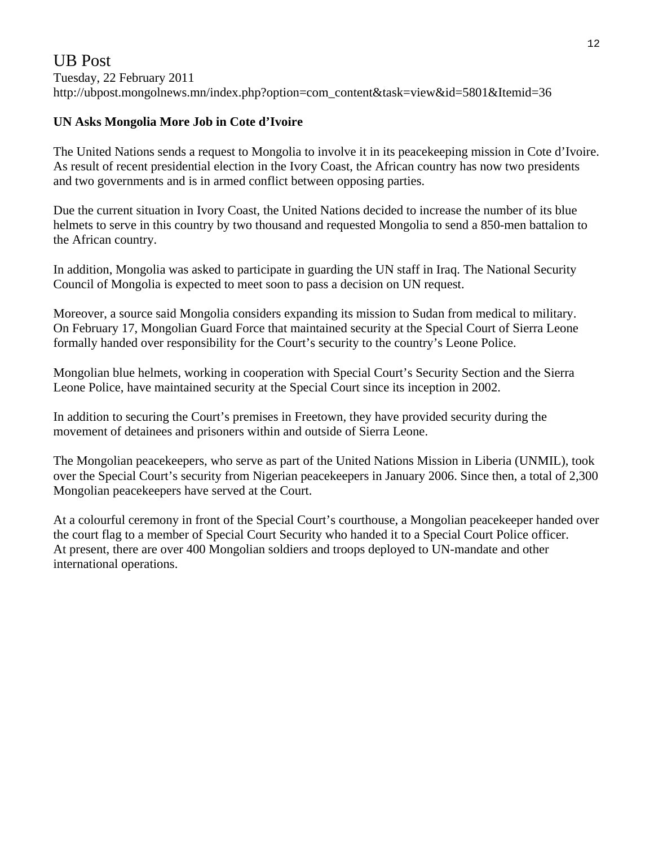# UB Post Tuesday, 22 February 2011 http://ubpost.mongolnews.mn/index.php?option=com\_content&task=view&id=5801&Itemid=36

#### **UN Asks Mongolia More Job in Cote d'Ivoire**

The United Nations sends a request to Mongolia to involve it in its peacekeeping mission in Cote d'Ivoire. As result of recent presidential election in the Ivory Coast, the African country has now two presidents and two governments and is in armed conflict between opposing parties.

Due the current situation in Ivory Coast, the United Nations decided to increase the number of its blue helmets to serve in this country by two thousand and requested Mongolia to send a 850-men battalion to the African country.

In addition, Mongolia was asked to participate in guarding the UN staff in Iraq. The National Security Council of Mongolia is expected to meet soon to pass a decision on UN request.

Moreover, a source said Mongolia considers expanding its mission to Sudan from medical to military. On February 17, Mongolian Guard Force that maintained security at the Special Court of Sierra Leone formally handed over responsibility for the Court's security to the country's Leone Police.

Mongolian blue helmets, working in cooperation with Special Court's Security Section and the Sierra Leone Police, have maintained security at the Special Court since its inception in 2002.

In addition to securing the Court's premises in Freetown, they have provided security during the movement of detainees and prisoners within and outside of Sierra Leone.

The Mongolian peacekeepers, who serve as part of the United Nations Mission in Liberia (UNMIL), took over the Special Court's security from Nigerian peacekeepers in January 2006. Since then, a total of 2,300 Mongolian peacekeepers have served at the Court.

At a colourful ceremony in front of the Special Court's courthouse, a Mongolian peacekeeper handed over the court flag to a member of Special Court Security who handed it to a Special Court Police officer. At present, there are over 400 Mongolian soldiers and troops deployed to UN-mandate and other international operations.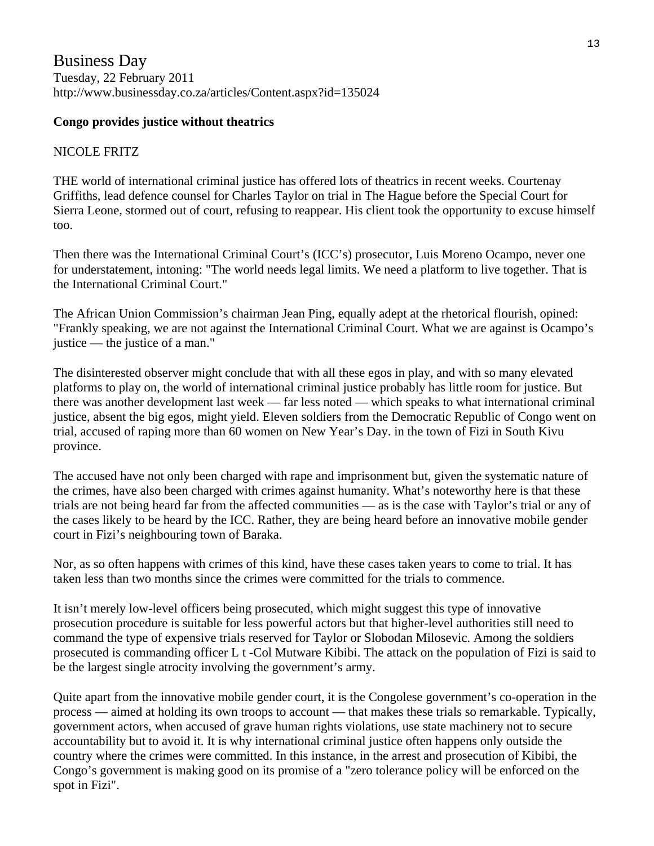#### **Congo provides justice without theatrics**

#### NICOLE FRITZ

THE world of international criminal justice has offered lots of theatrics in recent weeks. Courtenay Griffiths, lead defence counsel for Charles Taylor on trial in The Hague before the Special Court for Sierra Leone, stormed out of court, refusing to reappear. His client took the opportunity to excuse himself too.

Then there was the International Criminal Court's (ICC's) prosecutor, Luis Moreno Ocampo, never one for understatement, intoning: "The world needs legal limits. We need a platform to live together. That is the International Criminal Court."

The African Union Commission's chairman Jean Ping, equally adept at the rhetorical flourish, opined: "Frankly speaking, we are not against the International Criminal Court. What we are against is Ocampo's justice — the justice of a man."

The disinterested observer might conclude that with all these egos in play, and with so many elevated platforms to play on, the world of international criminal justice probably has little room for justice. But there was another development last week — far less noted — which speaks to what international criminal justice, absent the big egos, might yield. Eleven soldiers from the Democratic Republic of Congo went on trial, accused of raping more than 60 women on New Year's Day. in the town of Fizi in South Kivu province.

The accused have not only been charged with rape and imprisonment but, given the systematic nature of the crimes, have also been charged with crimes against humanity. What's noteworthy here is that these trials are not being heard far from the affected communities — as is the case with Taylor's trial or any of the cases likely to be heard by the ICC. Rather, they are being heard before an innovative mobile gender court in Fizi's neighbouring town of Baraka.

Nor, as so often happens with crimes of this kind, have these cases taken years to come to trial. It has taken less than two months since the crimes were committed for the trials to commence.

It isn't merely low-level officers being prosecuted, which might suggest this type of innovative prosecution procedure is suitable for less powerful actors but that higher-level authorities still need to command the type of expensive trials reserved for Taylor or Slobodan Milosevic. Among the soldiers prosecuted is commanding officer L t -Col Mutware Kibibi. The attack on the population of Fizi is said to be the largest single atrocity involving the government's army.

Quite apart from the innovative mobile gender court, it is the Congolese government's co-operation in the process — aimed at holding its own troops to account — that makes these trials so remarkable. Typically, government actors, when accused of grave human rights violations, use state machinery not to secure accountability but to avoid it. It is why international criminal justice often happens only outside the country where the crimes were committed. In this instance, in the arrest and prosecution of Kibibi, the Congo's government is making good on its promise of a "zero tolerance policy will be enforced on the spot in Fizi".